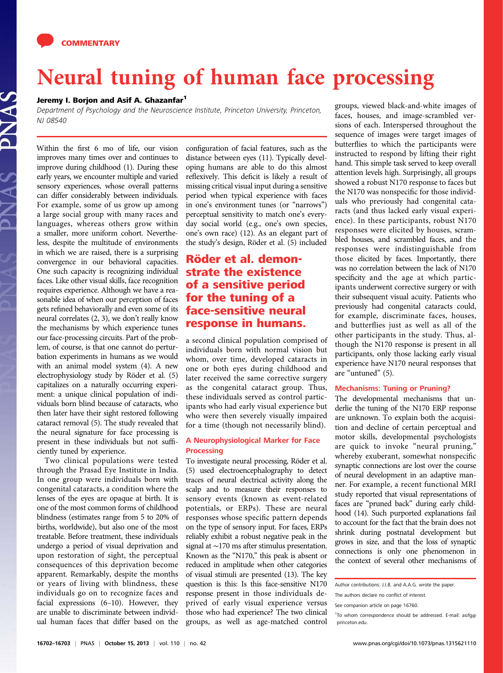# Never of the state of the state processing of the state processing of the state processing of the state processing of the state processing of the state processing of the state processing of the state processing of the stat

Department of Psychology and the Neuroscience Institute, Princeton University, Princeton, NJ 08540

Within the first 6 mo of life, our vision improves many times over and continues to improve during childhood (1). During these early years, we encounter multiple and varied sensory experiences, whose overall patterns can differ considerably between individuals. For example, some of us grow up among a large social group with many races and languages, whereas others grow within a smaller, more uniform cohort. Nevertheless, despite the multitude of environments in which we are raised, there is a surprising convergence in our behavioral capacities. One such capacity is recognizing individual faces. Like other visual skills, face recognition requires experience. Although we have a reasonable idea of when our perception of faces gets refined behaviorally and even some of its neural correlates (2, 3), we don't really know the mechanisms by which experience tunes our face-processing circuits. Part of the problem, of course, is that one cannot do perturbation experiments in humans as we would with an animal model system (4). A new electrophysiology study by Röder et al. (5) capitalizes on a naturally occurring experiment: a unique clinical population of individuals born blind because of cataracts, who then later have their sight restored following cataract removal (5). The study revealed that the neural signature for face processing is present in these individuals but not sufficiently tuned by experience.

Two clinical populations were tested through the Prasad Eye Institute in India. In one group were individuals born with congenital cataracts, a condition where the lenses of the eyes are opaque at birth. It is one of the most common forms of childhood blindness (estimates range from 5 to 20% of births, worldwide), but also one of the most treatable. Before treatment, these individuals undergo a period of visual deprivation and upon restoration of sight, the perceptual consequences of this deprivation become apparent. Remarkably, despite the months or years of living with blindness, these individuals go on to recognize faces and facial expressions (6–10). However, they are unable to discriminate between individual human faces that differ based on the

configuration of facial features, such as the distance between eyes (11). Typically developing humans are able to do this almost reflexively. This deficit is likely a result of missing critical visual input during a sensitive period when typical experience with faces in one's environment tunes (or "narrows") perceptual sensitivity to match one's everyday social world (e.g., one's own species, one's own race) (12). As an elegant part of the study's design, Röder et al. (5) included

## Röder et al. demonstrate the existence of a sensitive period for the tuning of a face-sensitive neural response in humans.

a second clinical population comprised of individuals born with normal vision but whom, over time, developed cataracts in one or both eyes during childhood and later received the same corrective surgery as the congenital cataract group. Thus, these individuals served as control participants who had early visual experience but who were then severely visually impaired for a time (though not necessarily blind).

## A Neurophysiological Marker for Face<br>Processing

To investigate neural processing, Röder et al. (5) used electroencephalography to detect traces of neural electrical activity along the scalp and to measure their responses to sensory events (known as event-related potentials, or ERPs). These are neural responses whose specific pattern depends on the type of sensory input. For faces, ERPs reliably exhibit a robust negative peak in the signal at ∼170 ms after stimulus presentation. Known as the "N170," this peak is absent or reduced in amplitude when other categories of visual stimuli are presented (13). The key question is this: Is this face-sensitive N170 response present in those individuals deprived of early visual experience versus those who had experience? The two clinical groups, as well as age-matched control

groups, viewed black-and-white images of faces, houses, and image-scrambled versions of each. Interspersed throughout the sequence of images were target images of butterflies to which the participants were instructed to respond by lifting their right hand. This simple task served to keep overall attention levels high. Surprisingly, all groups showed a robust N170 response to faces but the N170 was nonspecific for those individuals who previously had congenital cataracts (and thus lacked early visual experience). In these participants, robust N170 responses were elicited by houses, scrambled houses, and scrambled faces, and the responses were indistinguishable from those elicited by faces. Importantly, there was no correlation between the lack of N170 specificity and the age at which participants underwent corrective surgery or with their subsequent visual acuity. Patients who previously had congenital cataracts could, for example, discriminate faces, houses, and butterflies just as well as all of the other participants in the study. Thus, although the N170 response is present in all participants, only those lacking early visual experience have N170 neural responses that are "untuned" (5).

The developmental mechanisms that underlie the tuning of the N170 ERP response are unknown. To explain both the acquisition and decline of certain perceptual and motor skills, developmental psychologists are quick to invoke "neural pruning," whereby exuberant, somewhat nonspecific synaptic connections are lost over the course of neural development in an adaptive manner. For example, a recent functional MRI study reported that visual representations of faces are "pruned back" during early childhood (14). Such purported explanations fail to account for the fact that the brain does not shrink during postnatal development but grows in size, and that the loss of synaptic connections is only one phenomenon in the context of several other mechanisms of

Author contributions: J.I.B. and A.A.G. wrote the paper.

The authors declare no conflict of interest.

See companion article on page 16760.

<sup>&</sup>lt;sup>1</sup>To whom correspondence should be addressed. E-mail: [asifg@](mailto:asifg@princeton.edu) [princeton.edu](mailto:asifg@princeton.edu).